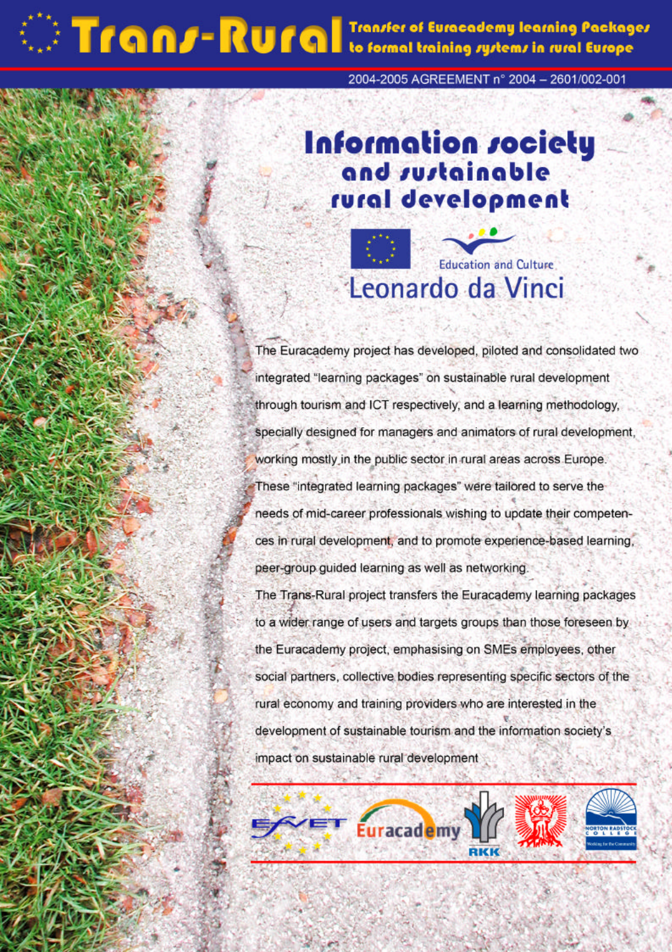# **Transfer of Europe Hearing Packages**

2004-2005 AGREEMENT n° 2004 - 2601/002-001

## Information society and sustainable rural development

### **Education and Culture** Leonardo da Vinci

The Euracademy project has developed, piloted and consolidated two integrated "learning packages" on sustainable rural development through tourism and ICT respectively, and a learning methodology, specially designed for managers and animators of rural development, working mostly in the public sector in rural areas across Europe. These "integrated learning packages" were tailored to serve the needs of mid-career professionals wishing to update their competences in rural development, and to promote experience-based learning, peer-group guided learning as well as networking.

The Trans-Rural project transfers the Euracademy learning packages to a wider range of users and targets groups than those foreseen by the Euracademy project, emphasising on SMEs employees, other social partners, collective bodies representing specific sectors of the rural economy and training providers who are interested in the development of sustainable tourism and the information society's impact on sustainable rural development